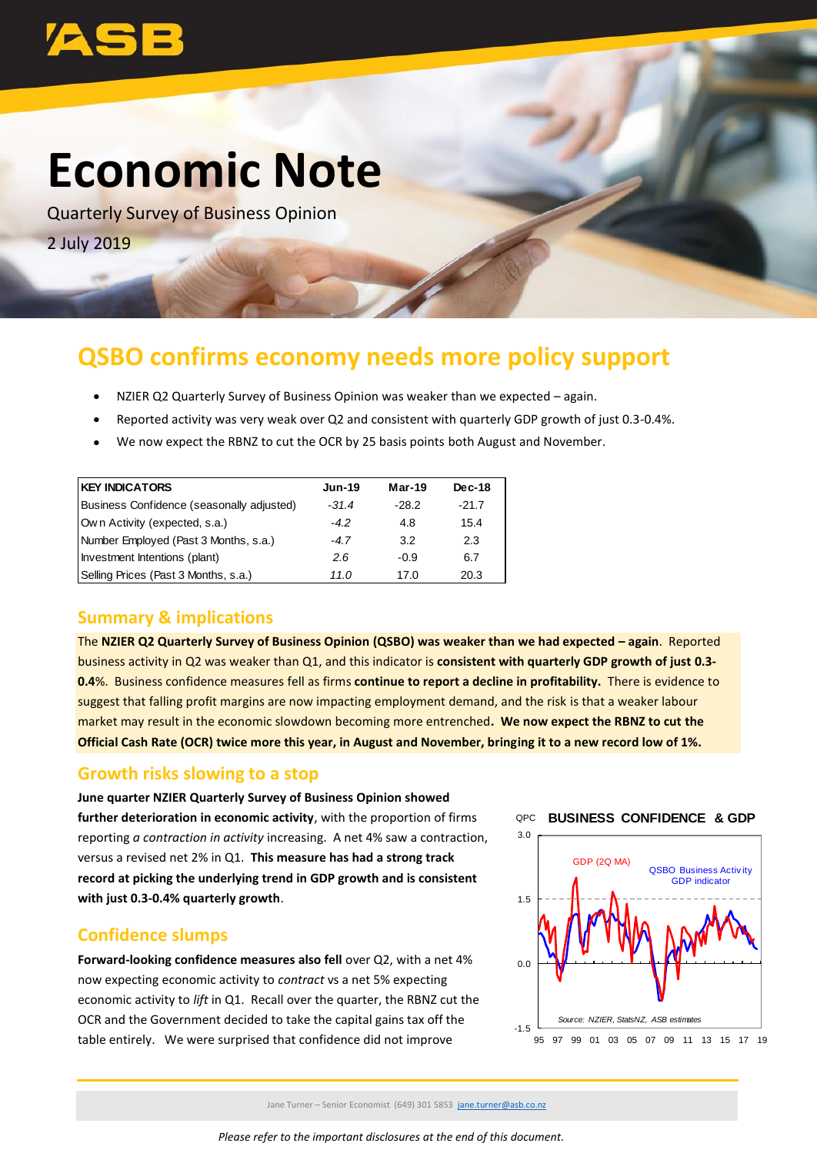

# **Economic Note**

Quarterly Survey of Business Opinion 2 July 2019

## **QSBO confirms economy needs more policy support**

- NZIER Q2 Quarterly Survey of Business Opinion was weaker than we expected again.
- Reported activity was very weak over Q2 and consistent with quarterly GDP growth of just 0.3-0.4%.
- We now expect the RBNZ to cut the OCR by 25 basis points both August and November.

| <b>KEY INDICATORS</b>                     | <b>Jun-19</b> | $Mar-19$ | <b>Dec-18</b> |
|-------------------------------------------|---------------|----------|---------------|
| Business Confidence (seasonally adjusted) | $-31.4$       | $-28.2$  | $-21.7$       |
| Own Activity (expected, s.a.)             | $-4.2$        | 4.8      | 15.4          |
| Number Employed (Past 3 Months, s.a.)     | $-4.7$        | 3.2      | 2.3           |
| Investment Intentions (plant)             | 2.6           | -0.9     | 6.7           |
| Selling Prices (Past 3 Months, s.a.)      | 11.0          | 17.0     | 20.3          |

#### **Summary & implications**

The **NZIER Q2 Quarterly Survey of Business Opinion (QSBO) was weaker than we had expected – again**. Reported business activity in Q2 was weaker than Q1, and this indicator is **consistent with quarterly GDP growth of just 0.3- 0.4**%. Business confidence measures fell as firms **continue to report a decline in profitability.** There is evidence to suggest that falling profit margins are now impacting employment demand, and the risk is that a weaker labour market may result in the economic slowdown becoming more entrenched**. We now expect the RBNZ to cut the Official Cash Rate (OCR) twice more this year, in August and November, bringing it to a new record low of 1%.** 

#### **Growth risks slowing to a stop**

**June quarter NZIER Quarterly Survey of Business Opinion showed further deterioration in economic activity**, with the proportion of firms reporting *a contraction in activity* increasing. A net 4% saw a contraction, versus a revised net 2% in Q1. **This measure has had a strong track record at picking the underlying trend in GDP growth and is consistent with just 0.3-0.4% quarterly growth**.

#### **Confidence slumps**

**Forward-looking confidence measures also fell** over Q2, with a net 4% now expecting economic activity to *contract* vs a net 5% expecting economic activity to *lift* in Q1. Recall over the quarter, the RBNZ cut the OCR and the Government decided to take the capital gains tax off the table entirely. We were surprised that confidence did not improve





Jane Turner – Senior Economist (649) 301 5853 [jane.turner@asb.co.nz](mailto:jane.turner@asb.co.nz)

*Please refer to the important disclosures at the end of this document.*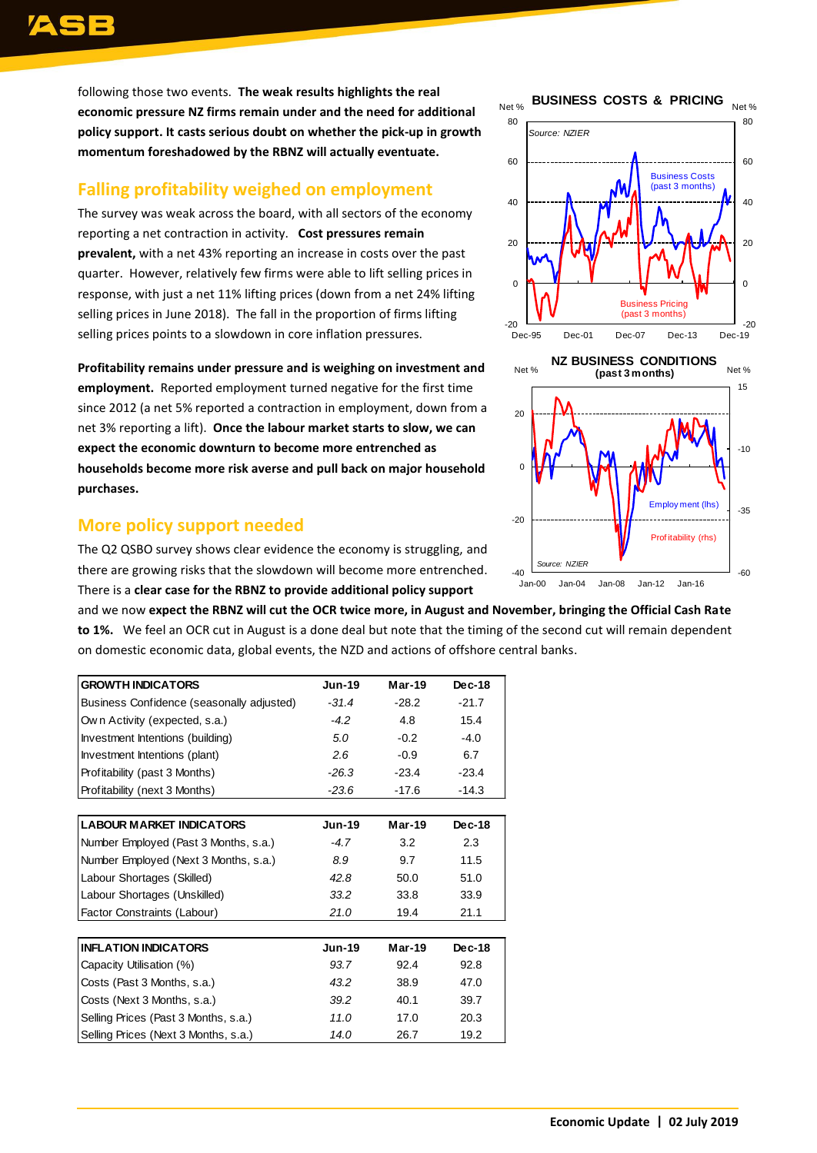following those two events. **The weak results highlights the real economic pressure NZ firms remain under and the need for additional policy support. It casts serious doubt on whether the pick-up in growth momentum foreshadowed by the RBNZ will actually eventuate.**

### **Falling profitability weighed on employment**

The survey was weak across the board, with all sectors of the economy reporting a net contraction in activity. **Cost pressures remain prevalent,** with a net 43% reporting an increase in costs over the past quarter. However, relatively few firms were able to lift selling prices in response, with just a net 11% lifting prices (down from a net 24% lifting selling prices in June 2018). The fall in the proportion of firms lifting selling prices points to a slowdown in core inflation pressures.

**Profitability remains under pressure and is weighing on investment and employment.** Reported employment turned negative for the first time since 2012 (a net 5% reported a contraction in employment, down from a net 3% reporting a lift). **Once the labour market starts to slow, we can expect the economic downturn to become more entrenched as households become more risk averse and pull back on major household purchases.** 

#### **More policy support needed**

The Q2 QSBO survey shows clear evidence the economy is struggling, and there are growing risks that the slowdown will become more entrenched. There is a **clear case for the RBNZ to provide additional policy support**

and we now **expect the RBNZ will cut the OCR twice more, in August and November, bringing the Official Cash Rate to 1%.** We feel an OCR cut in August is a done deal but note that the timing of the second cut will remain dependent on domestic economic data, global events, the NZD and actions of offshore central banks.

| <b>GROWTH INDICATORS</b>                  | <b>Jun-19</b> | $Mar-19$ | $Dec-18$ |
|-------------------------------------------|---------------|----------|----------|
| Business Confidence (seasonally adjusted) | $-31.4$       | $-28.2$  | $-21.7$  |
| Own Activity (expected, s.a.)             | $-4.2$        | 4.8      | 15.4     |
| Investment Intentions (building)          | 5.0           | $-0.2$   | $-4.0$   |
| Investment Intentions (plant)             | 2.6           | $-0.9$   | 6.7      |
| Profitability (past 3 Months)             | $-26.3$       | $-23.4$  | $-23.4$  |
| Profitability (next 3 Months)             | $-23.6$       | $-17.6$  | $-14.3$  |
|                                           |               |          |          |
| <b>LABOUR MARKET INDICATORS</b>           | <b>Jun-19</b> | $Mar-19$ | $Dec-18$ |
| Number Employed (Past 3 Months, s.a.)     | $-4.7$        | 3.2      | 2.3      |
| Number Employed (Next 3 Months, s.a.)     | 8.9           | 9.7      | 11.5     |
| Labour Shortages (Skilled)                | 42.8          | 50.0     | 51.0     |
| Labour Shortages (Unskilled)              | 33.2          | 33.8     | 33.9     |
| Factor Constraints (Labour)               | 21.0          | 19.4     | 21.1     |
|                                           |               |          |          |
| <b>INFLATION INDICATORS</b>               | <b>Jun-19</b> | Mar-19   | $Dec-18$ |
| Capacity Utilisation (%)                  | 93.7          | 92.4     | 92.8     |
| Costs (Past 3 Months, s.a.)               | 43.2          | 38.9     | 47.0     |
| Costs (Next 3 Months, s.a.)               | 39.2          | 40.1     | 39.7     |
| Selling Prices (Past 3 Months, s.a.)      | 11.0          | 17.0     | 20.3     |
| Selling Prices (Next 3 Months, s.a.)      | 14.0          | 26.7     | 19.2     |